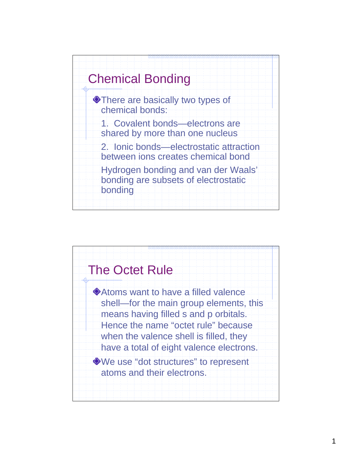

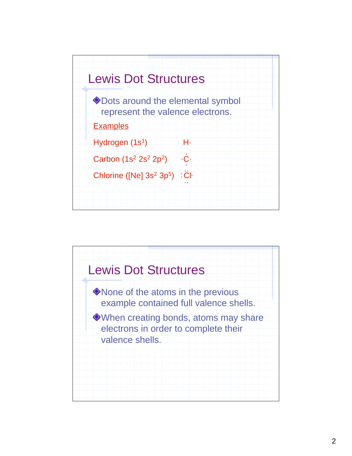

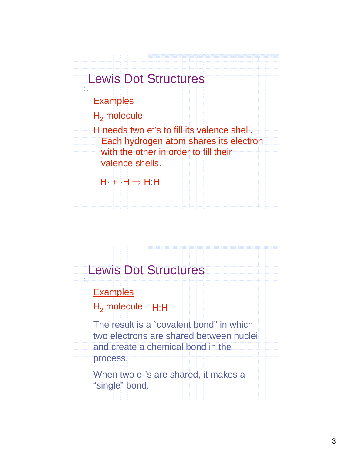

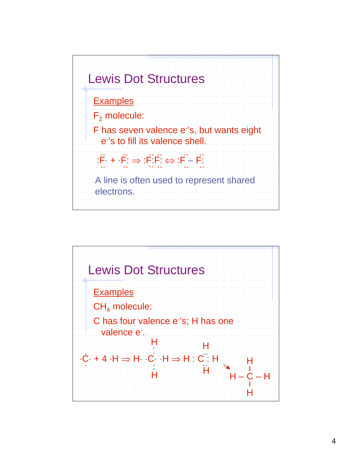

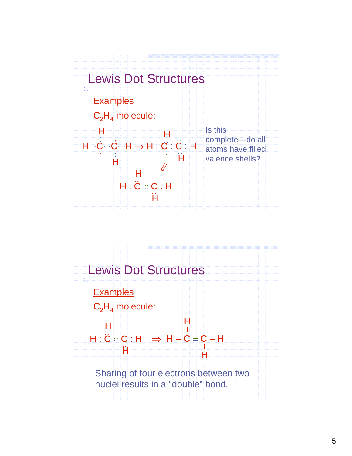

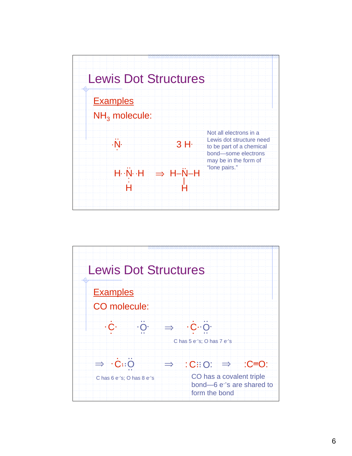

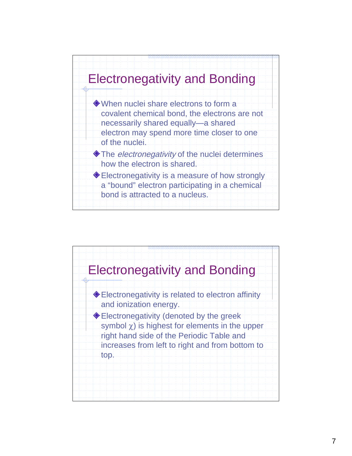

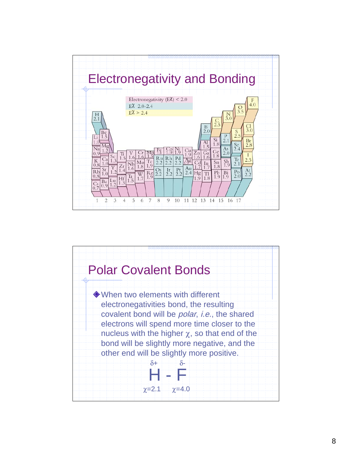

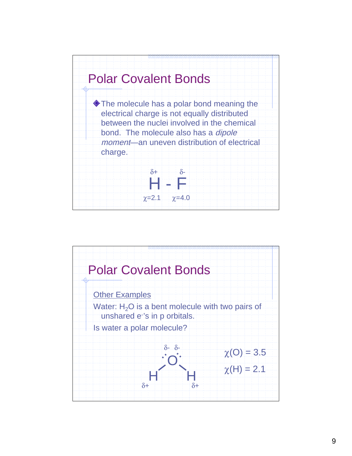

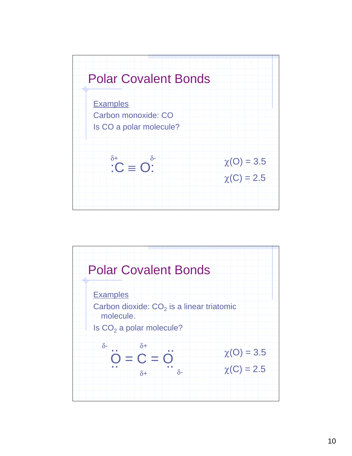

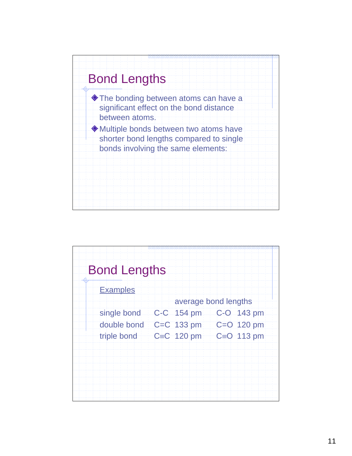

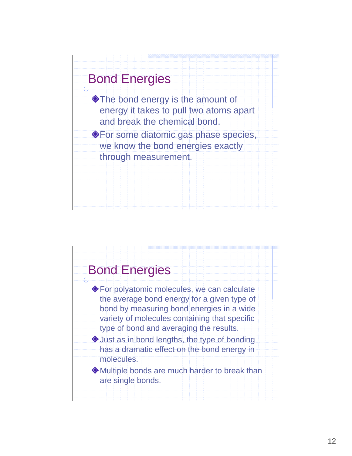

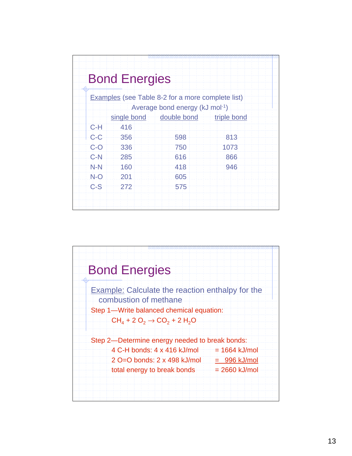| <b>Bond Energies</b> |                                |                                                          |      |
|----------------------|--------------------------------|----------------------------------------------------------|------|
|                      |                                | <b>Examples</b> (see Table 8-2 for a more complete list) |      |
|                      | Average bond energy (kJ mol-1) |                                                          |      |
|                      |                                | single bond double bond triple bond                      |      |
| $C-H$                | 416                            |                                                          |      |
| $C-C$                | 356                            | 598                                                      | 813  |
| $C-O$                | 336                            | 750                                                      | 1073 |
| $C-N$                | 285                            | 616                                                      | 866  |
| $N-N$                | 160                            | 418                                                      | 946  |
| $N-O$                | 201                            | 605                                                      |      |
| $C-S$                | 272                            | 575                                                      |      |

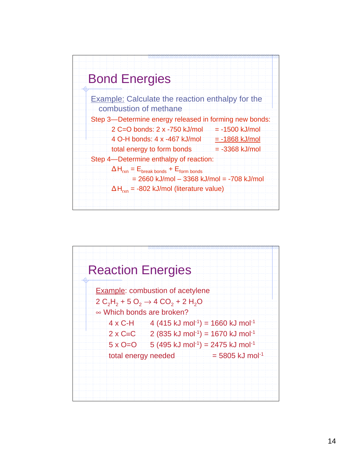

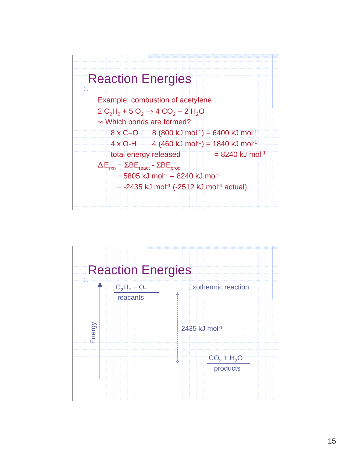

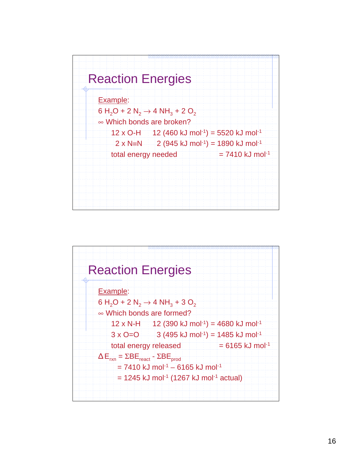

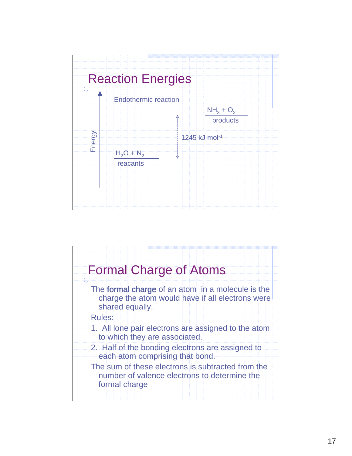

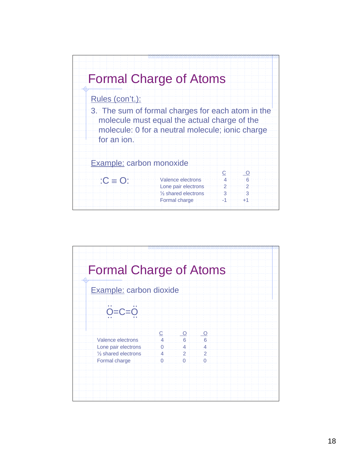

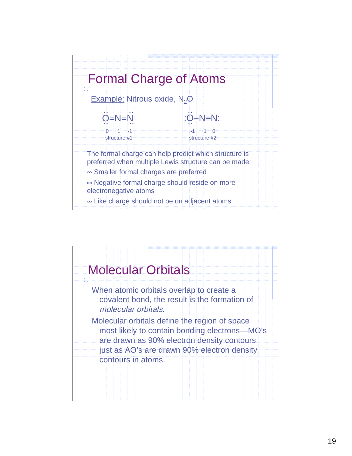

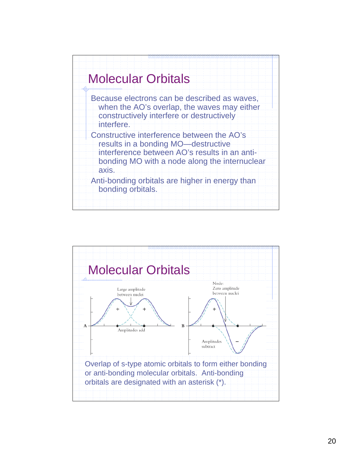

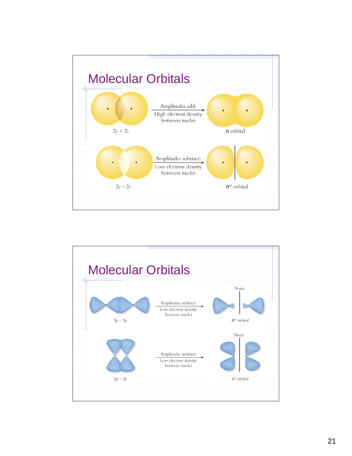

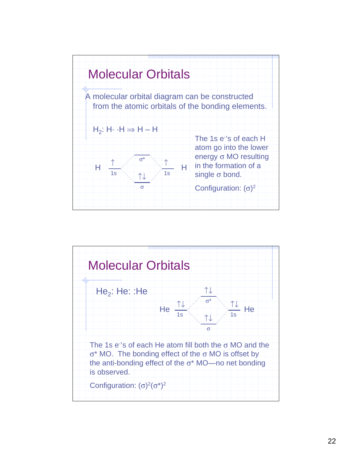

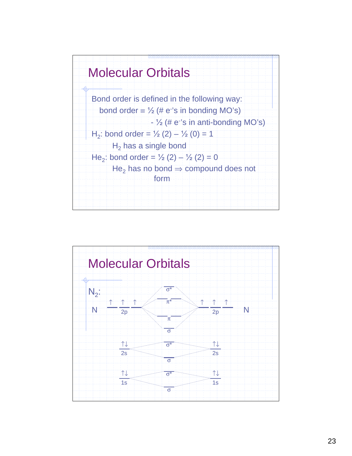

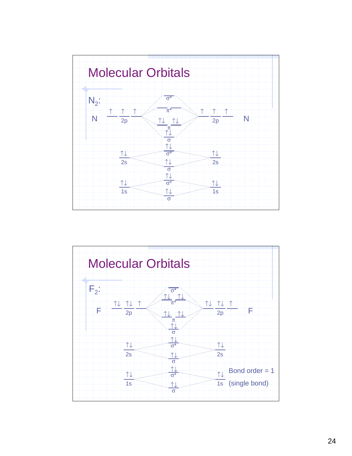

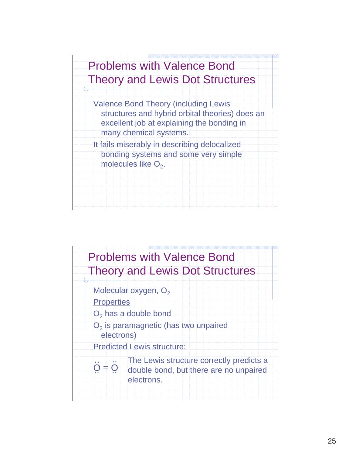

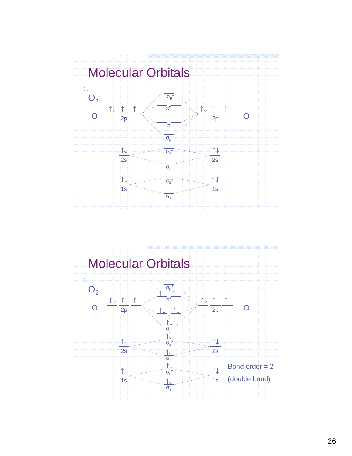

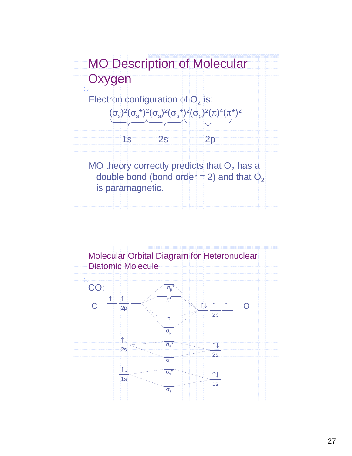